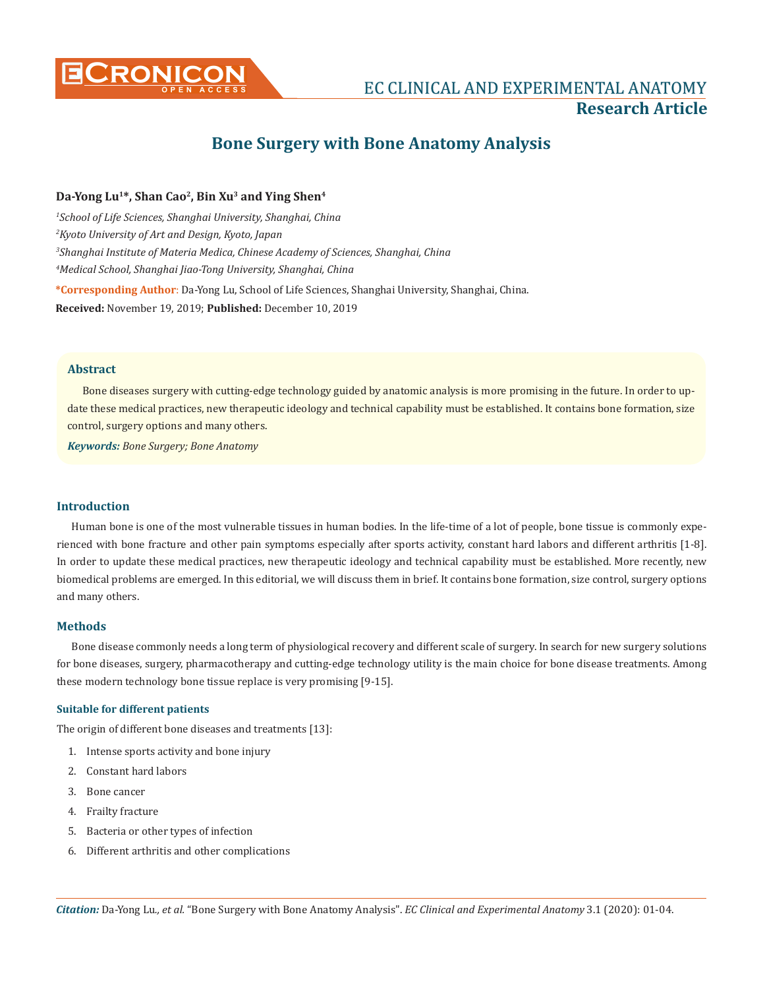

# **CRONICON EC CLINICAL AND EXPERIMENTAL ANATOMY Research Article**

# **Bone Surgery with Bone Anatomy Analysis**

# **Da-Yong Lu1\*, Shan Cao2, Bin Xu3 and Ying Shen4**

 *School of Life Sciences, Shanghai University, Shanghai, China Kyoto University of Art and Design, Kyoto, Japan Shanghai Institute of Materia Medica, Chinese Academy of Sciences, Shanghai, China Medical School, Shanghai Jiao-Tong University, Shanghai, China* **\*Corresponding Author**: Da-Yong Lu, School of Life Sciences, Shanghai University, Shanghai, China. **Received:** November 19, 2019; **Published:** December 10, 2019

## **Abstract**

Bone diseases surgery with cutting-edge technology guided by anatomic analysis is more promising in the future. In order to update these medical practices, new therapeutic ideology and technical capability must be established. It contains bone formation, size control, surgery options and many others.

*Keywords: Bone Surgery; Bone Anatomy*

# **Introduction**

Human bone is one of the most vulnerable tissues in human bodies. In the life-time of a lot of people, bone tissue is commonly experienced with bone fracture and other pain symptoms especially after sports activity, constant hard labors and different arthritis [1-8]. In order to update these medical practices, new therapeutic ideology and technical capability must be established. More recently, new biomedical problems are emerged. In this editorial, we will discuss them in brief. It contains bone formation, size control, surgery options and many others.

#### **Methods**

Bone disease commonly needs a long term of physiological recovery and different scale of surgery. In search for new surgery solutions for bone diseases, surgery, pharmacotherapy and cutting-edge technology utility is the main choice for bone disease treatments. Among these modern technology bone tissue replace is very promising [9-15].

## **Suitable for different patients**

The origin of different bone diseases and treatments [13]:

- 1. Intense sports activity and bone injury
- 2. Constant hard labors
- 3. Bone cancer
- 4. Frailty fracture
- 5. Bacteria or other types of infection
- 6. Different arthritis and other complications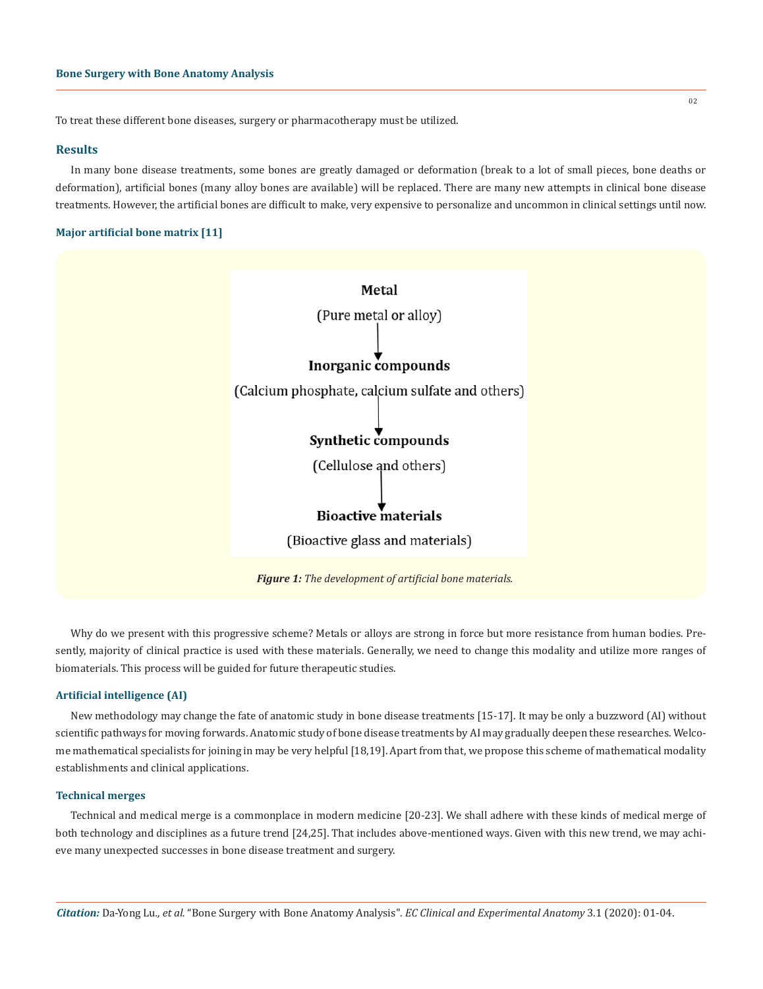To treat these different bone diseases, surgery or pharmacotherapy must be utilized.

#### **Results**

In many bone disease treatments, some bones are greatly damaged or deformation (break to a lot of small pieces, bone deaths or deformation), artificial bones (many alloy bones are available) will be replaced. There are many new attempts in clinical bone disease treatments. However, the artificial bones are difficult to make, very expensive to personalize and uncommon in clinical settings until now.

# **Major artificial bone matrix [11]**



Why do we present with this progressive scheme? Metals or alloys are strong in force but more resistance from human bodies. Presently, majority of clinical practice is used with these materials. Generally, we need to change this modality and utilize more ranges of biomaterials. This process will be guided for future therapeutic studies.

## **Artificial intelligence (AI)**

New methodology may change the fate of anatomic study in bone disease treatments [15-17]. It may be only a buzzword (AI) without scientific pathways for moving forwards. Anatomic study of bone disease treatments by AI may gradually deepen these researches. Welcome mathematical specialists for joining in may be very helpful [18,19]. Apart from that, we propose this scheme of mathematical modality establishments and clinical applications.

#### **Technical merges**

Technical and medical merge is a commonplace in modern medicine [20-23]. We shall adhere with these kinds of medical merge of both technology and disciplines as a future trend [24,25]. That includes above-mentioned ways. Given with this new trend, we may achieve many unexpected successes in bone disease treatment and surgery.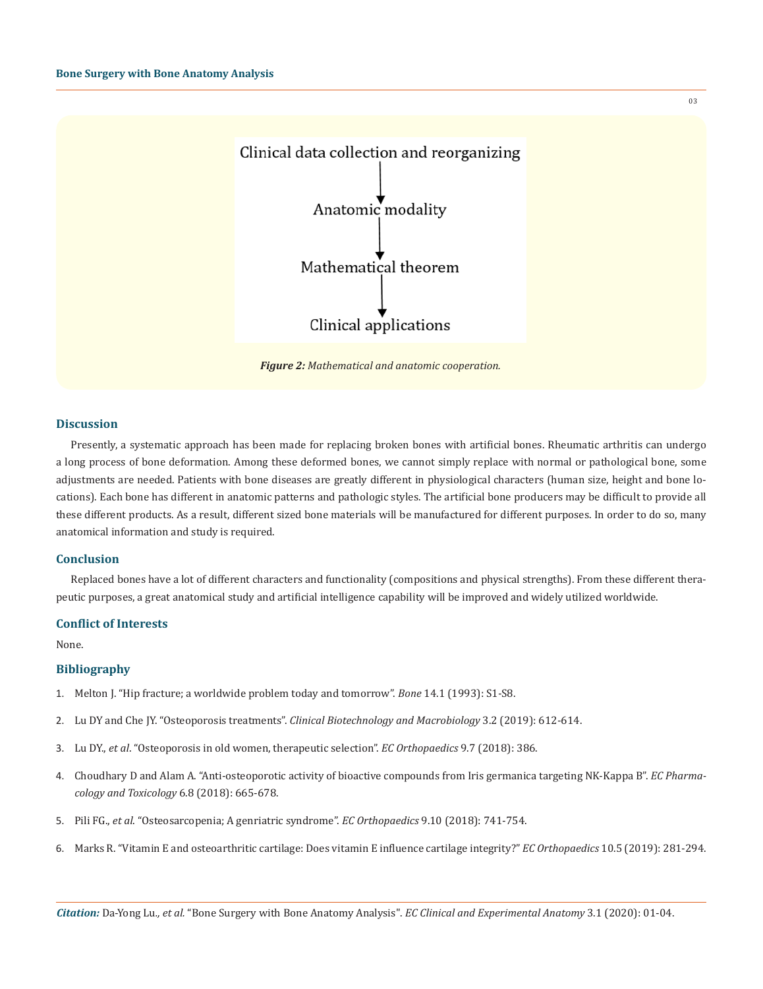

*Figure 2: Mathematical and anatomic cooperation.*

#### **Discussion**

Presently, a systematic approach has been made for replacing broken bones with artificial bones. Rheumatic arthritis can undergo a long process of bone deformation. Among these deformed bones, we cannot simply replace with normal or pathological bone, some adjustments are needed. Patients with bone diseases are greatly different in physiological characters (human size, height and bone locations). Each bone has different in anatomic patterns and pathologic styles. The artificial bone producers may be difficult to provide all these different products. As a result, different sized bone materials will be manufactured for different purposes. In order to do so, many anatomical information and study is required.

#### **Conclusion**

Replaced bones have a lot of different characters and functionality (compositions and physical strengths). From these different therapeutic purposes, a great anatomical study and artificial intelligence capability will be improved and widely utilized worldwide.

# **Conflict of Interests**

None.

#### **Bibliography**

- 1. [Melton J. "Hip fracture; a worldwide problem today and tomorrow".](https://www.ncbi.nlm.nih.gov/pubmed/8110512) *Bone* 14.1 (1993): S1-S8.
- 2. Lu DY and Che JY. "Osteoporosis treatments". *[Clinical Biotechnology and Macrobiology](https://scientiaricerca.com/srcbmi/pdf/SRCBMI-03-00087.pdf)* 3.2 (2019): 612-614.
- 3. Lu DY., *et al*[. "Osteoporosis in old women, therapeutic selection".](https://www.ecronicon.com/ecor/pdf/ECOR-09-00319.pdf) *EC Orthopaedics* 9.7 (2018): 386.
- 4. [Choudhary D and Alam A. "Anti-osteoporotic activity of bioactive compounds from Iris germanica targeting NK-Kappa B".](https://www.ecronicon.com/ecpt/pdf/ECPT-06-00216.pdf) *EC Pharma[cology and Toxicology](https://www.ecronicon.com/ecpt/pdf/ECPT-06-00216.pdf)* 6.8 (2018): 665-678.
- 5. Pili FG., *et al*[. "Osteosarcopenia; A genriatric syndrome".](https://www.ecronicon.com/ecor/pdf/ECOR-09-00346.pdf) *EC Orthopaedics* 9.10 (2018): 741-754.
- 6. [Marks R. "Vitamin E and osteoarthritic cartilage: Does vitamin E influence cartilage integrity?"](https://www.ecronicon.com/ecor/pdf/ECOR-10-00419.pdf) *EC Orthopaedics* 10.5 (2019): 281-294.

03